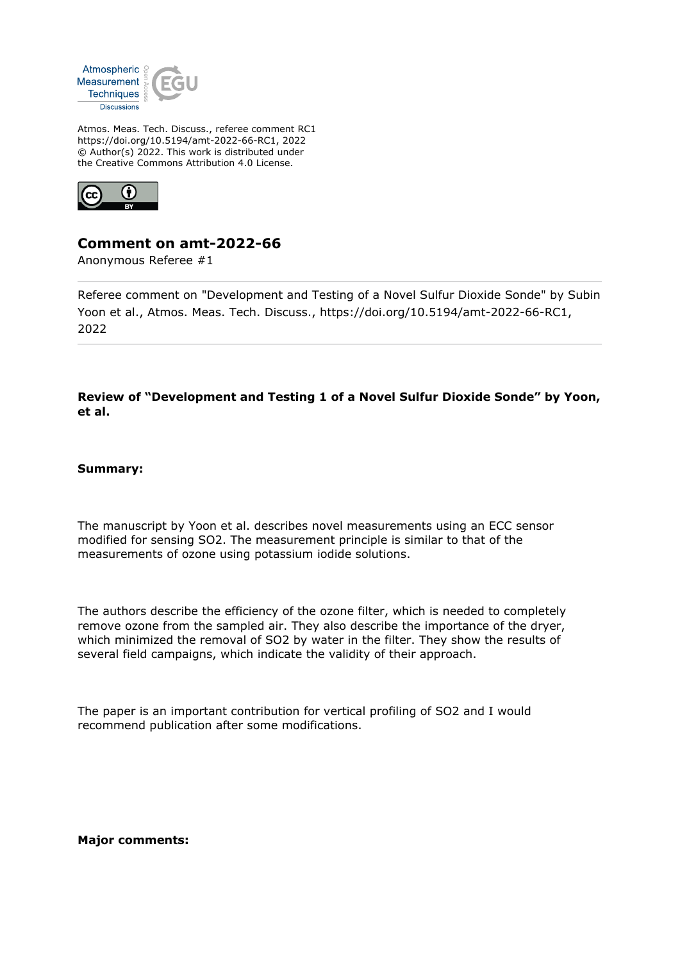

Atmos. Meas. Tech. Discuss., referee comment RC1 https://doi.org/10.5194/amt-2022-66-RC1, 2022 © Author(s) 2022. This work is distributed under the Creative Commons Attribution 4.0 License.



## **Comment on amt-2022-66**

Anonymous Referee #1

Referee comment on "Development and Testing of a Novel Sulfur Dioxide Sonde" by Subin Yoon et al., Atmos. Meas. Tech. Discuss., https://doi.org/10.5194/amt-2022-66-RC1, 2022

**Review of "Development and Testing 1 of a Novel Sulfur Dioxide Sonde" by Yoon, et al.**

## **Summary:**

The manuscript by Yoon et al. describes novel measurements using an ECC sensor modified for sensing SO2. The measurement principle is similar to that of the measurements of ozone using potassium iodide solutions.

The authors describe the efficiency of the ozone filter, which is needed to completely remove ozone from the sampled air. They also describe the importance of the dryer, which minimized the removal of SO2 by water in the filter. They show the results of several field campaigns, which indicate the validity of their approach.

The paper is an important contribution for vertical profiling of SO2 and I would recommend publication after some modifications.

**Major comments:**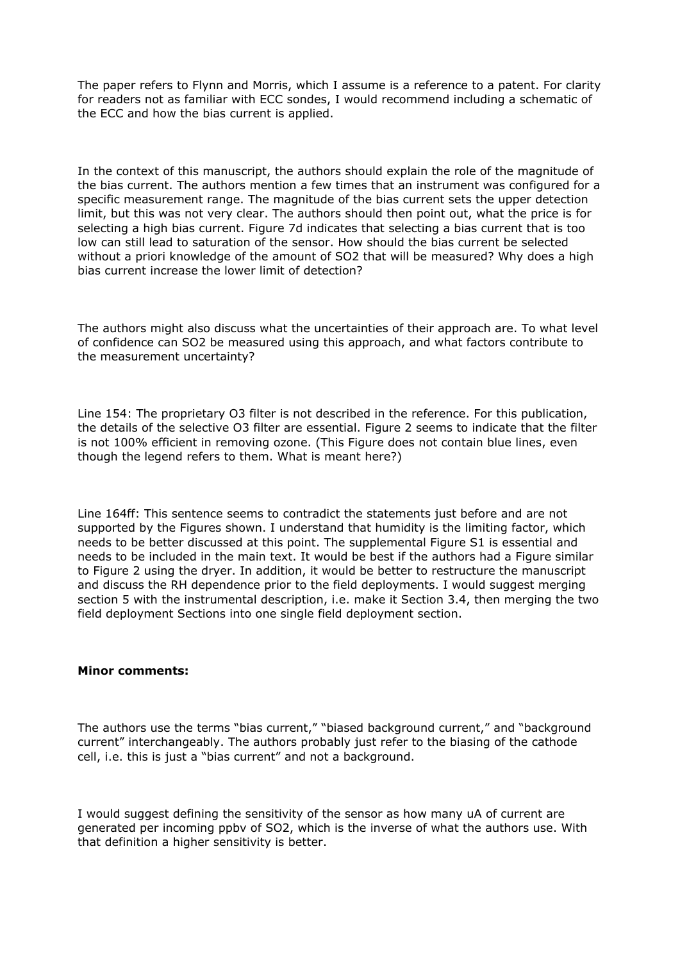The paper refers to Flynn and Morris, which I assume is a reference to a patent. For clarity for readers not as familiar with ECC sondes, I would recommend including a schematic of the ECC and how the bias current is applied.

In the context of this manuscript, the authors should explain the role of the magnitude of the bias current. The authors mention a few times that an instrument was configured for a specific measurement range. The magnitude of the bias current sets the upper detection limit, but this was not very clear. The authors should then point out, what the price is for selecting a high bias current. Figure 7d indicates that selecting a bias current that is too low can still lead to saturation of the sensor. How should the bias current be selected without a priori knowledge of the amount of SO2 that will be measured? Why does a high bias current increase the lower limit of detection?

The authors might also discuss what the uncertainties of their approach are. To what level of confidence can SO2 be measured using this approach, and what factors contribute to the measurement uncertainty?

Line 154: The proprietary O3 filter is not described in the reference. For this publication, the details of the selective O3 filter are essential. Figure 2 seems to indicate that the filter is not 100% efficient in removing ozone. (This Figure does not contain blue lines, even though the legend refers to them. What is meant here?)

Line 164ff: This sentence seems to contradict the statements just before and are not supported by the Figures shown. I understand that humidity is the limiting factor, which needs to be better discussed at this point. The supplemental Figure S1 is essential and needs to be included in the main text. It would be best if the authors had a Figure similar to Figure 2 using the dryer. In addition, it would be better to restructure the manuscript and discuss the RH dependence prior to the field deployments. I would suggest merging section 5 with the instrumental description, i.e. make it Section 3.4, then merging the two field deployment Sections into one single field deployment section.

## **Minor comments:**

The authors use the terms "bias current," "biased background current," and "background current" interchangeably. The authors probably just refer to the biasing of the cathode cell, i.e. this is just a "bias current" and not a background.

I would suggest defining the sensitivity of the sensor as how many uA of current are generated per incoming ppbv of SO2, which is the inverse of what the authors use. With that definition a higher sensitivity is better.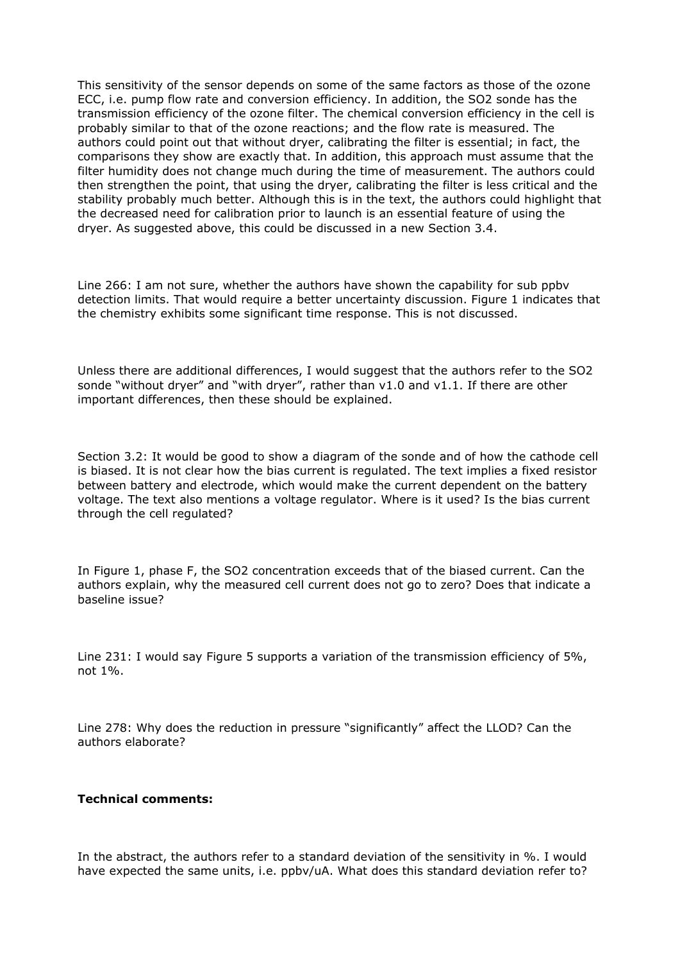This sensitivity of the sensor depends on some of the same factors as those of the ozone ECC, i.e. pump flow rate and conversion efficiency. In addition, the SO2 sonde has the transmission efficiency of the ozone filter. The chemical conversion efficiency in the cell is probably similar to that of the ozone reactions; and the flow rate is measured. The authors could point out that without dryer, calibrating the filter is essential; in fact, the comparisons they show are exactly that. In addition, this approach must assume that the filter humidity does not change much during the time of measurement. The authors could then strengthen the point, that using the dryer, calibrating the filter is less critical and the stability probably much better. Although this is in the text, the authors could highlight that the decreased need for calibration prior to launch is an essential feature of using the dryer. As suggested above, this could be discussed in a new Section 3.4.

Line 266: I am not sure, whether the authors have shown the capability for sub ppbv detection limits. That would require a better uncertainty discussion. Figure 1 indicates that the chemistry exhibits some significant time response. This is not discussed.

Unless there are additional differences, I would suggest that the authors refer to the SO2 sonde "without dryer" and "with dryer", rather than v1.0 and v1.1. If there are other important differences, then these should be explained.

Section 3.2: It would be good to show a diagram of the sonde and of how the cathode cell is biased. It is not clear how the bias current is regulated. The text implies a fixed resistor between battery and electrode, which would make the current dependent on the battery voltage. The text also mentions a voltage regulator. Where is it used? Is the bias current through the cell regulated?

In Figure 1, phase F, the SO2 concentration exceeds that of the biased current. Can the authors explain, why the measured cell current does not go to zero? Does that indicate a baseline issue?

Line 231: I would say Figure 5 supports a variation of the transmission efficiency of 5%, not 1%.

Line 278: Why does the reduction in pressure "significantly" affect the LLOD? Can the authors elaborate?

## **Technical comments:**

In the abstract, the authors refer to a standard deviation of the sensitivity in %. I would have expected the same units, i.e. ppbv/uA. What does this standard deviation refer to?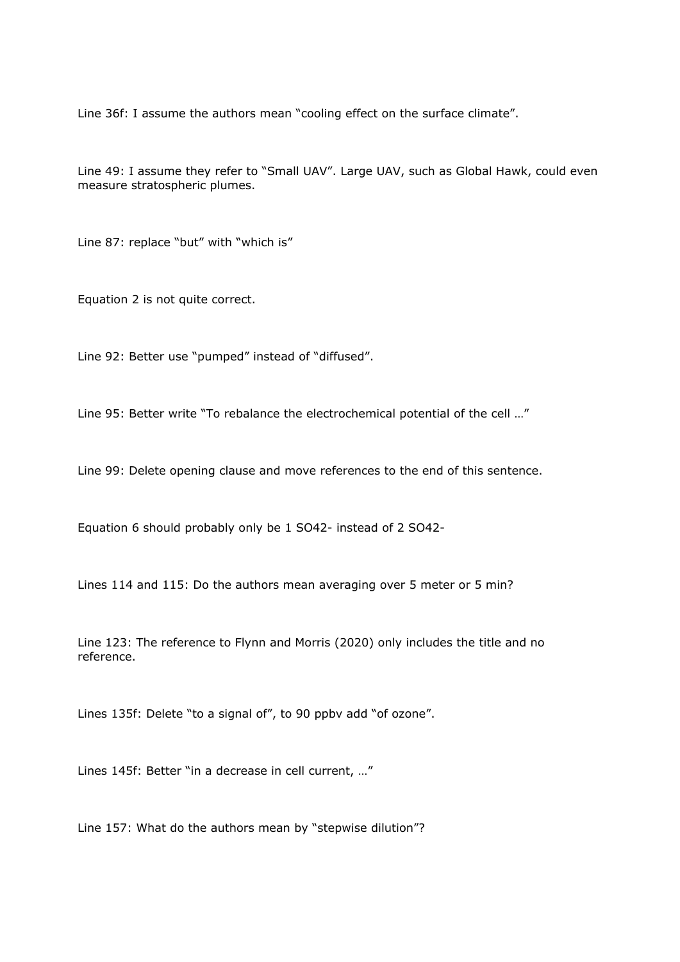Line 36f: I assume the authors mean "cooling effect on the surface climate".

Line 49: I assume they refer to "Small UAV". Large UAV, such as Global Hawk, could even measure stratospheric plumes.

Line 87: replace "but" with "which is"

Equation 2 is not quite correct.

Line 92: Better use "pumped" instead of "diffused".

Line 95: Better write "To rebalance the electrochemical potential of the cell …"

Line 99: Delete opening clause and move references to the end of this sentence.

Equation 6 should probably only be 1 SO42- instead of 2 SO42-

Lines 114 and 115: Do the authors mean averaging over 5 meter or 5 min?

Line 123: The reference to Flynn and Morris (2020) only includes the title and no reference.

Lines 135f: Delete "to a signal of", to 90 ppbv add "of ozone".

Lines 145f: Better "in a decrease in cell current, …"

Line 157: What do the authors mean by "stepwise dilution"?